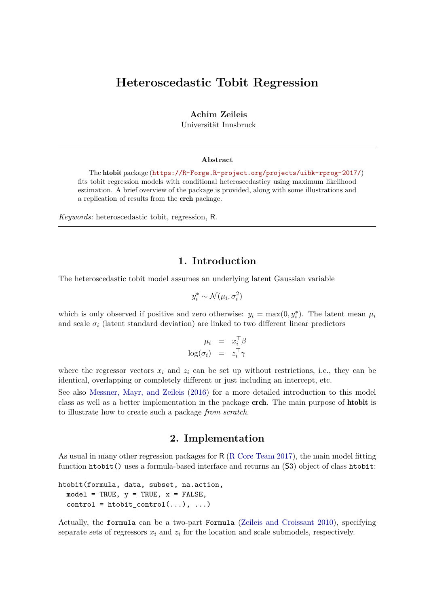# **Heteroscedastic Tobit Regression**

**Achim Zeileis**

Universität Innsbruck

#### **Abstract**

The htobit package (<https://R-Forge.R-project.org/projects/uibk-rprog-2017/>) fits tobit regression models with conditional heteroscedasticy using maximum likelihood estimation. A brief overview of the package is provided, along with some illustrations and a replication of results from the crch package.

*Keywords*: heteroscedastic tobit, regression, R.

#### **1. Introduction**

The heteroscedastic tobit model assumes an underlying latent Gaussian variable

$$
y_i^* \sim \mathcal{N}(\mu_i, \sigma_i^2)
$$

which is only observed if positive and zero otherwise:  $y_i = \max(0, y_i^*)$ . The latent mean  $\mu_i$ and scale  $\sigma_i$  (latent standard deviation) are linked to two different linear predictors

$$
\mu_i = x_i^{\top} \beta
$$

$$
\log(\sigma_i) = z_i^{\top} \gamma
$$

where the regressor vectors  $x_i$  and  $z_i$  can be set up without restrictions, i.e., they can be identical, overlapping or completely different or just including an intercept, etc.

See also [Messner, Mayr, and Zeileis](#page-5-0) [\(2016\)](#page-5-0) for a more detailed introduction to this model class as well as a better implementation in the package crch. The main purpose of htobit is to illustrate how to create such a package *from scratch*.

#### **2. Implementation**

As usual in many other regression packages for R [\(R Core Team](#page-5-1) [2017\)](#page-5-1), the main model fitting function htobit() uses a formula-based interface and returns an (S3) object of class htobit:

htobit(formula, data, subset, na.action,  $model = TRUE, y = TRUE, x = FALSE,$  $control = htobit_{control}(...), ...)$ 

Actually, the formula can be a two-part Formula [\(Zeileis and Croissant](#page-5-2) [2010\)](#page-5-2), specifying separate sets of regressors  $x_i$  and  $z_i$  for the location and scale submodels, respectively.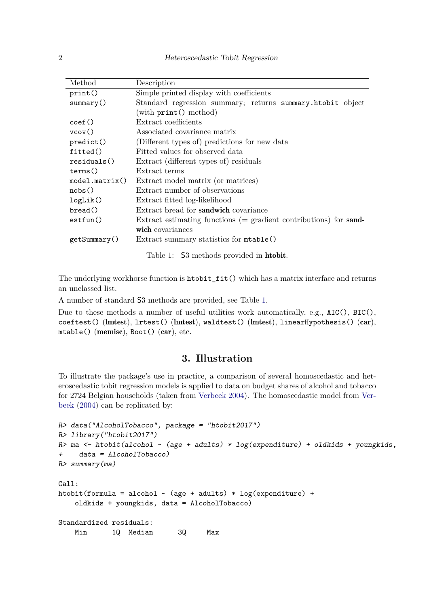| Method          | Description                                                         |  |  |  |
|-----------------|---------------------------------------------------------------------|--|--|--|
| print()         | Simple printed display with coefficients                            |  |  |  |
| summary()       | Standard regression summary; returns summary.htobit object          |  |  |  |
|                 | (with $print()$ method)                                             |  |  |  |
| $\text{coef}()$ | Extract coefficients                                                |  |  |  |
| vcov()          | Associated covariance matrix                                        |  |  |  |
| predict()       | (Different types of) predictions for new data                       |  |  |  |
| fitted()        | Fitted values for observed data                                     |  |  |  |
| residuals()     | Extract (different types of) residuals                              |  |  |  |
| terms()         | Extract terms                                                       |  |  |  |
| model.matrix()  | Extract model matrix (or matrices)                                  |  |  |  |
| nobs()          | Extract number of observations                                      |  |  |  |
| logList()       | Extract fitted log-likelihood                                       |  |  |  |
| break()         | Extract bread for <b>sandwich</b> covariance                        |  |  |  |
| estfun()        | Extract estimating functions $(=$ gradient contributions) for sand- |  |  |  |
|                 | wich covariances                                                    |  |  |  |
| getSummary()    | Extract summary statistics for mtable()                             |  |  |  |
|                 |                                                                     |  |  |  |

<span id="page-1-0"></span>Table 1: S3 methods provided in htobit.

The underlying workhorse function is htobit\_fit() which has a matrix interface and returns an unclassed list.

A number of standard S3 methods are provided, see Table [1.](#page-1-0)

Due to these methods a number of useful utilities work automatically, e.g., AIC(), BIC(), coeftest() (lmtest), lrtest() (lmtest), waldtest() (lmtest), linearHypothesis() (car), mtable() (memisc), Boot() (car), etc.

### **3. Illustration**

To illustrate the package's use in practice, a comparison of several homoscedastic and heteroscedastic tobit regression models is applied to data on budget shares of alcohol and tobacco for 2724 Belgian households (taken from [Verbeek](#page-5-3) [2004\)](#page-5-3). The homoscedastic model from [Ver](#page-5-3)[beek](#page-5-3) [\(2004\)](#page-5-3) can be replicated by:

```
R> data("AlcoholTobacco", package = "htobit2017")
R> library("htobit2017")
R ma <- htobit(alcohol ~ (age + adults) * log(expenditure) + oldkids + youngkids,
+ data = AlcoholTobacco)
R> summary(ma)
Call:
htobit(formula = alcohol \sim (age + adults) * log(expenditure) +
   oldkids + youngkids, data = AlcoholTobacco)
Standardized residuals:
   Min 1Q Median 3Q Max
```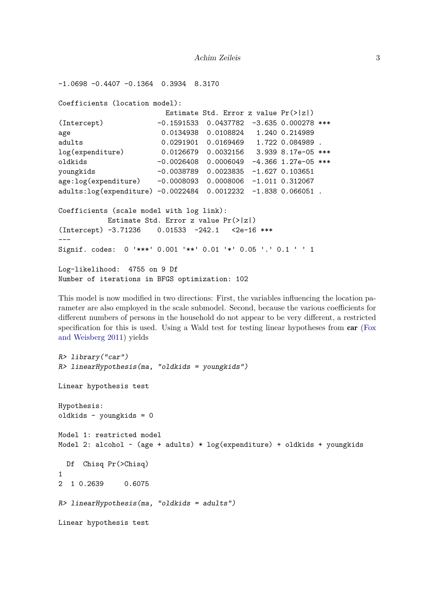```
-1.0698 -0.4407 -0.1364 0.3934 8.3170
Coefficients (location model):
                      Estimate Std. Error z value Pr(>|z|)
(Intercept) -0.1591533 0.0437782 -3.635 0.000278 ***
age 0.0134938 0.0108824 1.240 0.214989
adults 0.0291901 0.0169469 1.722 0.084989 .
log(expenditure) 0.0126679 0.0032156 3.939 8.17e-05 ***
oldkids -0.0026408 0.0006049 -4.366 1.27e-05 ***
youngkids -0.0038789 0.0023835 -1.627 0.103651
age:log(expenditure) -0.0008093 0.0008006 -1.011 0.312067
adults:log(expenditure) -0.0022484 0.0012232 -1.838 0.066051 .
Coefficients (scale model with log link):
          Estimate Std. Error z value Pr(>|z|)
(Intercept) -3.71236 0.01533 -242.1 <2e-16 ***
---
Signif. codes: 0 '***' 0.001 '**' 0.01 '*' 0.05 '.' 0.1 ' ' 1
Log-likelihood: 4755 on 9 Df
Number of iterations in BFGS optimization: 102
```
This model is now modified in two directions: First, the variables influencing the location parameter are also employed in the scale submodel. Second, because the various coefficients for different numbers of persons in the household do not appear to be very different, a restricted specification for this is used. Using a Wald test for testing linear hypotheses from car [\(Fox](#page-5-4) [and Weisberg](#page-5-4) [2011\)](#page-5-4) yields

```
R> library("car")
R> linearHypothesis(ma, "oldkids = youngkids")
Linear hypothesis test
Hypothesis:
oldkids - youngkids = 0
Model 1: restricted model
Model 2: alcohol \sim (age + adults) * log(expenditure) + oldkids + youngkids
  Df Chisq Pr(>Chisq)
1
2 1 0.2639 0.6075
R> linearHypothesis(ma, "oldkids = adults")
Linear hypothesis test
```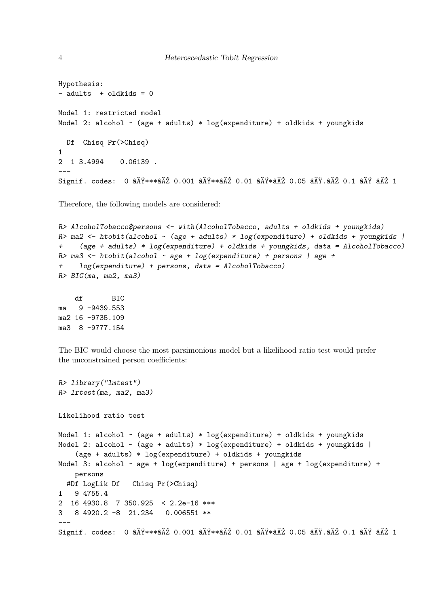```
Hypothesis:
- adults + oldkids = 0
Model 1: restricted model
Model 2: alcohol \sim (age + adults) * log(expenditure) + oldkids + youngkids
  Df Chisq Pr(>Chisq)
\mathbf{1}2 1 3.4994
              0.06139.
Signif. codes: 0 âĂŸ***âĂŹ 0.001 âĂŸ**âĂŹ 0.01 âĂŸ*âĂŹ 0.05 âĂŸ.âĂŹ 0.1 âĂŸ âĂŹ 1
```
Therefore, the following models are considered:

```
R> AlcoholTobacco$persons <- with(AlcoholTobacco, adults + oldkids + youngkids)
R> ma2 <- htobit(alcohol ~ (age + adults) * log(expenditure) + oldkids + youngkids |
     (age + adults) * log(expenditure) + oldkids + youngkids, data = AlcoholTobacco)
+R> ma3 <- htobit(alcohol \sim age + log(expenditure) + persons | age +
     log(expendixture) + persons, data = AlcoholTobacco)
R > BIC(ma, ma2, ma3)
```

```
dfRTC
    9 - 9439.553mama2 16 -9735.109
ma3 8 -9777.154
```
The BIC would choose the most parsimonious model but a likelihood ratio test would prefer the unconstrained person coefficients:

```
R> library("lmtest")
R> lrtest(ma, ma2, ma3)
Likelihood ratio test
Model 1: alcohol \sim (age + adults) * log(expenditure) + oldkids + youngkids
Model 2: alcohol \sim (age + adults) * log(expenditure) + oldkids + youngkids |
    (age + adults) * log(expenditure) + oldkids + youngkids
Model 3: alcohol ~ age + log(expenditure) + persons | age + log(expenditure) +
   persons
 #Df LogLik Df
                  Chisq Pr(>Chisq)
1 9 4755.4
2 16 4930.8 7 350.925 < 2.2e-16 ***
  8 4920.2 -8 21.234
                         0.006551 **
3
Signif. codes: 0 â V *** â AZ 0.001 â AV ** â AZ 0.01 â AV * â AZ 0.05 â AV. â AZ 0.1 â AV â AZ 1
```
 $\overline{4}$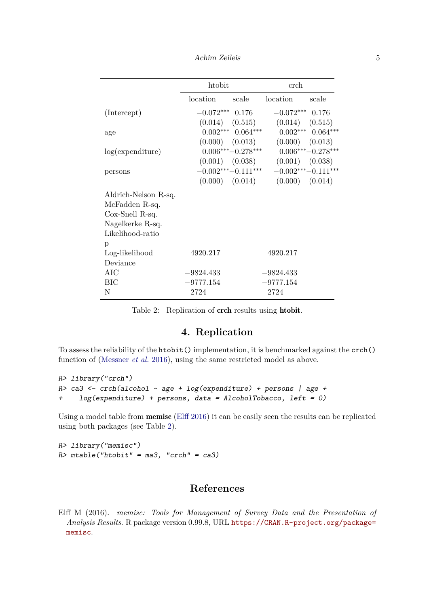Achim Zeileis 5

|                      | htobit              |                       | erch.                                   |                       |
|----------------------|---------------------|-----------------------|-----------------------------------------|-----------------------|
|                      | location            | scale                 | location                                | scale                 |
| (Intercept)          | $-0.072***$ 0.176   |                       | $-0.072***$ 0.176                       |                       |
|                      | $(0.014)$ $(0.515)$ |                       | $(0.014)$ $(0.515)$                     |                       |
| age                  |                     | $0.002***$ $0.064***$ |                                         | $0.002***$ $0.064***$ |
|                      |                     | $(0.000)$ $(0.013)$   | $(0.000)$ $(0.013)$                     |                       |
| log(expenditure)     |                     | $0.006***-0.278***$   | $0.006***-0.278***$                     |                       |
|                      |                     |                       | $(0.001)$ $(0.038)$ $(0.001)$ $(0.038)$ |                       |
| persons              |                     | $-0.002***-0.111***$  | $-0.002***-0.111***$                    |                       |
|                      |                     | $(0.000)$ $(0.014)$   | $(0.000)$ $(0.014)$                     |                       |
| Aldrich-Nelson R-sq. |                     |                       |                                         |                       |
| McFadden R-sq.       |                     |                       |                                         |                       |
| $Cox-Snell R-sq.$    |                     |                       |                                         |                       |
| Nagelkerke R-sq.     |                     |                       |                                         |                       |
| Likelihood-ratio     |                     |                       |                                         |                       |
| p                    |                     |                       |                                         |                       |
| Log-likelihood       | 4920.217            |                       | 4920.217                                |                       |
| Deviance             |                     |                       |                                         |                       |
| AIC                  | $-9824.433$         |                       | $-9824.433$                             |                       |
| <b>BIC</b>           | $-9777.154$         |                       | $-9777.154$                             |                       |
| N                    | 2724                |                       | 2724                                    |                       |

# <span id="page-4-1"></span>**4. Replication**

To assess the reliability of the htobit() implementation, it is benchmarked against the crch() function of [\(Messner](#page-5-0) *et al.* [2016\)](#page-5-0), using the same restricted model as above.

```
R> library("crch")
R> ca3 <- crch(alcohol ~ age + log(expenditure) + persons | age +
+ log(expenditure) + persons, data = AlcoholTobacco, left = 0)
```
Using a model table from memisc [\(Elff](#page-4-0) [2016\)](#page-4-0) it can be easily seen the results can be replicated using both packages (see Table [2\)](#page-4-1).

R> library("memisc")  $R$   $\rightarrow$   $mtable('htobit'' = ma3, 'crch'' = ca3)$ 

# **References**

<span id="page-4-0"></span>Elff M (2016). *memisc: Tools for Management of Survey Data and the Presentation of Analysis Results*. R package version 0.99.8, URL [https://CRAN.R-project.org/package=](https://CRAN.R-project.org/package=memisc) [memisc](https://CRAN.R-project.org/package=memisc).